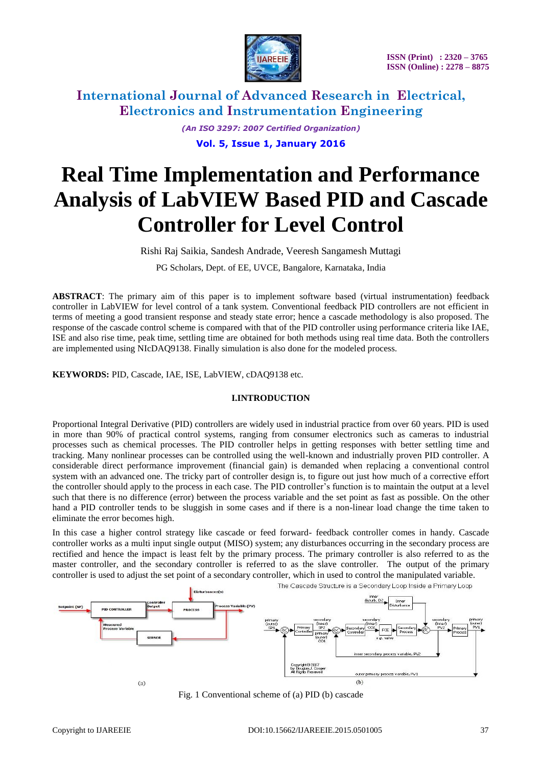

> *(An ISO 3297: 2007 Certified Organization)* **Vol. 5, Issue 1, January 2016**

# **Real Time Implementation and Performance Analysis of LabVIEW Based PID and Cascade Controller for Level Control**

Rishi Raj Saikia, Sandesh Andrade, Veeresh Sangamesh Muttagi

PG Scholars, Dept. of EE, UVCE, Bangalore, Karnataka, India

**ABSTRACT**: The primary aim of this paper is to implement software based (virtual instrumentation) feedback controller in LabVIEW for level control of a tank system. Conventional feedback PID controllers are not efficient in terms of meeting a good transient response and steady state error; hence a cascade methodology is also proposed. The response of the cascade control scheme is compared with that of the PID controller using performance criteria like IAE, ISE and also rise time, peak time, settling time are obtained for both methods using real time data. Both the controllers are implemented using NIcDAQ9138. Finally simulation is also done for the modeled process.

**KEYWORDS:** PID, Cascade, IAE, ISE, LabVIEW, cDAQ9138 etc.

### **I.INTRODUCTION**

Proportional Integral Derivative (PID) controllers are widely used in industrial practice from over 60 years. PID is used in more than 90% of practical control systems, ranging from consumer electronics such as cameras to industrial processes such as chemical processes. The PID controller helps in getting responses with better settling time and tracking. Many nonlinear processes can be controlled using the well-known and industrially proven PID controller. A considerable direct performance improvement (financial gain) is demanded when replacing a conventional control system with an advanced one. The tricky part of controller design is, to figure out just how much of a corrective effort the controller should apply to the process in each case. The PID controller"s function is to maintain the output at a level such that there is no difference (error) between the process variable and the set point as fast as possible. On the other hand a PID controller tends to be sluggish in some cases and if there is a non-linear load change the time taken to eliminate the error becomes high.

In this case a higher control strategy like cascade or feed forward- feedback controller comes in handy. Cascade controller works as a multi input single output (MISO) system; any disturbances occurring in the secondary process are rectified and hence the impact is least felt by the primary process. The primary controller is also referred to as the master controller, and the secondary controller is referred to as the slave controller. The output of the primary controller is used to adjust the set point of a secondary controller, which in used to control the manipulated variable.



The Cascade Structure is a Secondary Loop Inside a Primary Loop

Fig. 1 Conventional scheme of (a) PID (b) cascade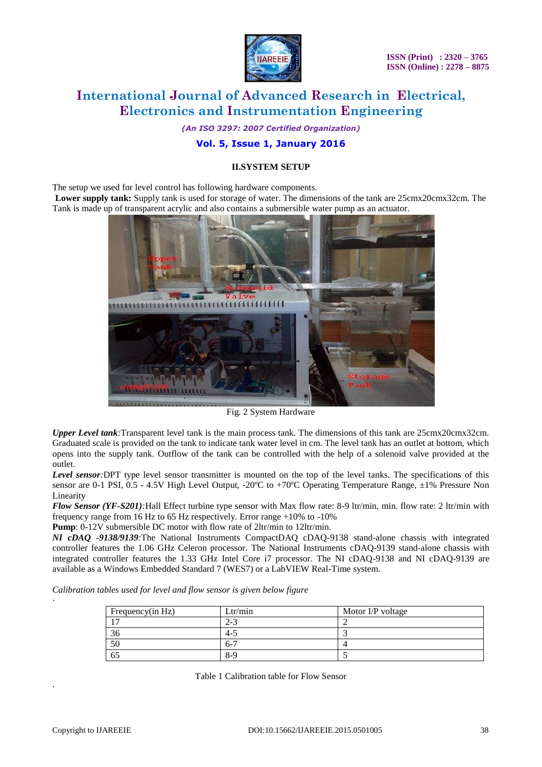

*(An ISO 3297: 2007 Certified Organization)*

## **Vol. 5, Issue 1, January 2016**

### **II.SYSTEM SETUP**

The setup we used for level control has following hardware components.

**Lower supply tank:** Supply tank is used for storage of water. The dimensions of the tank are 25cmx20cmx32cm. The Tank is made up of transparent acrylic and also contains a submersible water pump as an actuator.



Fig. 2 System Hardware

*Upper Level tank:*Transparent level tank is the main process tank. The dimensions of this tank are 25cmx20cmx32cm. Graduated scale is provided on the tank to indicate tank water level in cm. The level tank has an outlet at bottom, which opens into the supply tank. Outflow of the tank can be controlled with the help of a solenoid valve provided at the outlet.

*Level sensor:*DPT type level sensor transmitter is mounted on the top of the level tanks. The specifications of this sensor are 0-1 PSI, 0.5 - 4.5V High Level Output, -20ºC to +70ºC Operating Temperature Range, ±1% Pressure Non Linearity

*Flow Sensor (YF-S201):*Hall Effect turbine type sensor with Max flow rate: 8-9 ltr/min, min. flow rate: 2 ltr/min with frequency range from 16 Hz to 65 Hz respectively. Error range  $+10\%$  to  $-10\%$ 

**Pump**:  $0-12V$  submersible DC motor with flow rate of 2ltr/min to 12ltr/min.

*NI cDAQ -9138/9139:*The National Instruments CompactDAQ cDAQ-9138 stand-alone chassis with integrated controller features the 1.06 GHz Celeron processor. The National Instruments cDAQ-9139 stand-alone chassis with integrated controller features the 1.33 GHz Intel Core i7 processor. The NI cDAQ-9138 and NI cDAQ-9139 are available as a Windows Embedded Standard 7 (WES7) or a LabVIEW Real-Time system.

*Calibration tables used for level and flow sensor is given below figure*

| Frequency(in Hz) | Ltr/min | Motor I/P voltage |
|------------------|---------|-------------------|
|                  | 2-3     |                   |
| 30               | $4 - 5$ |                   |
| 50               | $6 - 7$ |                   |
| 65               | $8-9$   |                   |

Table 1 Calibration table for Flow Sensor

·

·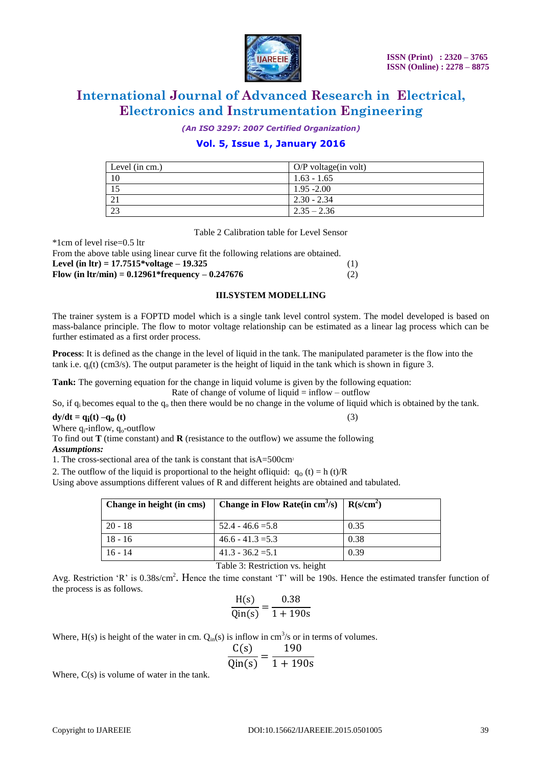

*(An ISO 3297: 2007 Certified Organization)*

## **Vol. 5, Issue 1, January 2016**

| Level (in cm.) | $O/P$ voltage(in volt) |
|----------------|------------------------|
| 10             | $1.63 - 1.65$          |
|                | $1.95 - 2.00$          |
|                | $2.30 - 2.34$          |
| 23             | $\sqrt{2.35} - 2.36$   |

Table 2 Calibration table for Level Sensor

| $1$ CHI OI IC VCI 115C $=$ 0.9 IU                                                 |     |
|-----------------------------------------------------------------------------------|-----|
| From the above table using linear curve fit the following relations are obtained. |     |
| Level (in $\text{Irr}$ ) = 17.7515*voltage – 19.325                               | (1) |
| Flow (in $\text{Itr/min}$ ) = 0.12961*frequency – 0.247676                        | (2) |
|                                                                                   |     |

#### **III.SYSTEM MODELLING**

The trainer system is a FOPTD model which is a single tank level control system. The model developed is based on mass-balance principle. The flow to motor voltage relationship can be estimated as a linear lag process which can be further estimated as a first order process.

**Process**: It is defined as the change in the level of liquid in the tank. The manipulated parameter is the flow into the tank i.e.  $q_i(t)$  (cm3/s). The output parameter is the height of liquid in the tank which is shown in figure 3.

**Tank:** The governing equation for the change in liquid volume is given by the following equation: Rate of change of volume of liquid  $=$  inflow – outflow

So, if  $q_i$  becomes equal to the  $q_0$  then there would be no change in the volume of liquid which is obtained by the tank.

**dy/dt = q<sub>i</sub>(t) –q<sub>o</sub> (t)** (3)

Where  $q_i$ -inflow,  $q_o$ -outflow

 $*1$ cm of level rise=0.5 ltr

To find out **T** (time constant) and **R** (resistance to the outflow) we assume the following *Assumptions:*

1. The cross-sectional area of the tank is constant that isA=500cm<sup>2</sup>

2. The outflow of the liquid is proportional to the height of liquid:  $q_0(t) = h(t)/R$ 

Using above assumptions different values of R and different heights are obtained and tabulated.

| Change in height (in cms) | Change in Flow Rate(in cm <sup>3</sup> /s) | $\mid R(s/cm^{2})$ |
|---------------------------|--------------------------------------------|--------------------|
| $20 - 18$                 | $52.4 - 46.6 = 5.8$                        | 0.35               |
| $18 - 16$                 | $46.6 - 41.3 = 5.3$                        | 0.38               |
| $16 - 14$                 | $41.3 - 36.2 = 5.1$                        | 0.39               |

Table 3: Restriction vs. height

Avg. Restriction 'R' is 0.38s/cm<sup>2</sup>. Hence the time constant 'T' will be 190s. Hence the estimated transfer function of the process is as follows.

$$
\frac{H(s)}{Qin(s)} = \frac{0.38}{1 + 190s}
$$

Where, H(s) is height of the water in cm.  $Q_{in}(s)$  is inflow in cm<sup>3</sup>/s or in terms of volumes.

$$
\frac{C(s)}{s} = \frac{190}{}
$$

$$
\frac{\overline{q_0}}{\overline{q_0}} = \frac{\overline{q_0}}{1 + 190s}
$$

Where,  $C(s)$  is volume of water in the tank.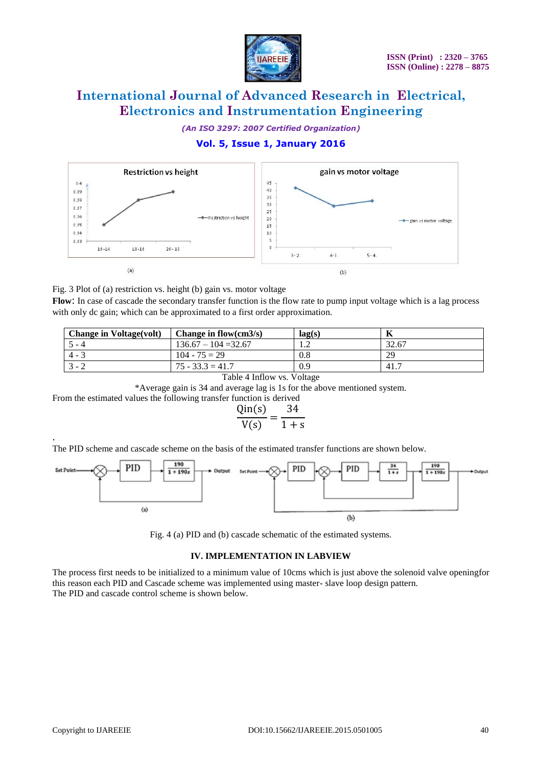

*(An ISO 3297: 2007 Certified Organization)*

## **Vol. 5, Issue 1, January 2016**



Fig. 3 Plot of (a) restriction vs. height (b) gain vs. motor voltage

**Flow**: In case of cascade the secondary transfer function is the flow rate to pump input voltage which is a lag process with only dc gain; which can be approximated to a first order approximation.

| <b>Change in Voltage(volt)</b> | Change in flow(cm $3/s$ ) | lag(s) |       |
|--------------------------------|---------------------------|--------|-------|
| $5 - 4$                        | $136.67 - 104 = 32.67$    |        | 32.67 |
| $4 - 3$                        | $104 - 75 = 29$           | 0.8    | 29    |
| $3 - 2$                        | $75 - 33.3 = 41.7$        | 0.9    | 41.7  |

Table 4 Inflow vs. Voltage

\*Average gain is 34 and average lag is 1s for the above mentioned system.

From the estimated values the following transfer function is derived

$$
\frac{\text{Qin(s)}}{\text{V(s)}} = \frac{34}{1+s}
$$

The PID scheme and cascade scheme on the basis of the estimated transfer functions are shown below.



Fig. 4 (a) PID and (b) cascade schematic of the estimated systems.

#### **IV. IMPLEMENTATION IN LABVIEW**

The process first needs to be initialized to a minimum value of 10cms which is just above the solenoid valve openingfor this reason each PID and Cascade scheme was implemented using master- slave loop design pattern. The PID and cascade control scheme is shown below.

.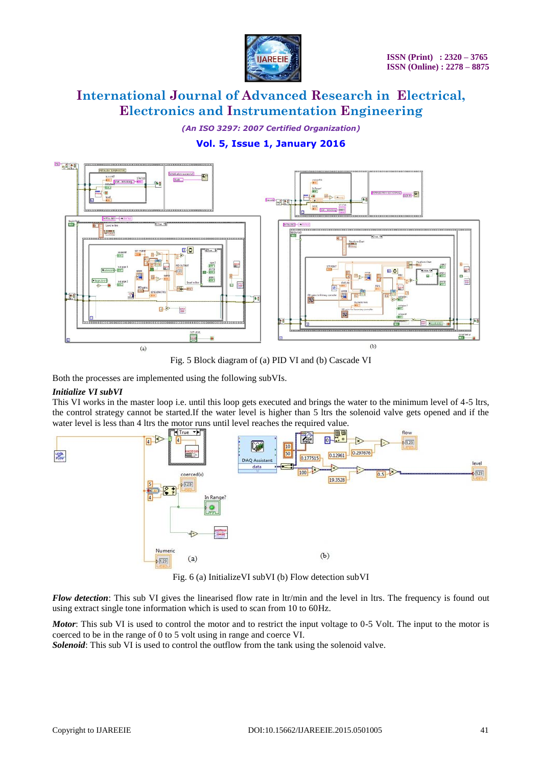

*(An ISO 3297: 2007 Certified Organization)*

# **Vol. 5, Issue 1, January 2016**



Fig. 5 Block diagram of (a) PID VI and (b) Cascade VI

Both the processes are implemented using the following subVIs.

### *Initialize VI subVI*

This VI works in the master loop i.e. until this loop gets executed and brings the water to the minimum level of 4-5 ltrs, the control strategy cannot be started.If the water level is higher than 5 ltrs the solenoid valve gets opened and if the water level is less than 4 ltrs the motor runs until level reaches the required value.



Fig. 6 (a) InitializeVI subVI (b) Flow detection subVI

*Flow detection*: This sub VI gives the linearised flow rate in ltr/min and the level in ltrs. The frequency is found out using extract single tone information which is used to scan from 10 to 60Hz.

*Motor*: This sub VI is used to control the motor and to restrict the input voltage to 0-5 Volt. The input to the motor is coerced to be in the range of 0 to 5 volt using in range and coerce VI.

*Solenoid*: This sub VI is used to control the outflow from the tank using the solenoid valve.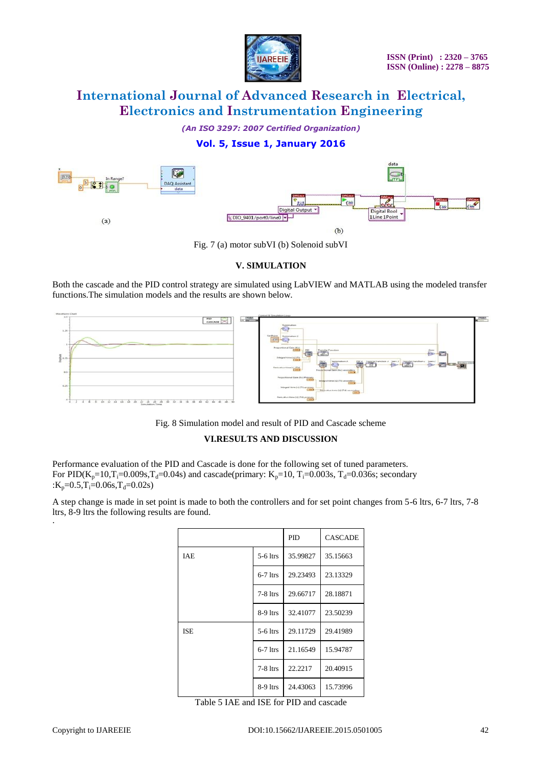

*(An ISO 3297: 2007 Certified Organization)*

## **Vol. 5, Issue 1, January 2016**



Fig. 7 (a) motor subVI (b) Solenoid subVI

### **V. SIMULATION**

Both the cascade and the PID control strategy are simulated using LabVIEW and MATLAB using the modeled transfer functions.The simulation models and the results are shown below.



Fig. 8 Simulation model and result of PID and Cascade scheme

## **VI.RESULTS AND DISCUSSION**

Performance evaluation of the PID and Cascade is done for the following set of tuned parameters. For PID(K<sub>p</sub>=10,T<sub>i</sub>=0.009s,T<sub>d</sub>=0.04s) and cascade(primary: K<sub>p</sub>=10, T<sub>i</sub>=0.003s, T<sub>d</sub>=0.036s; secondary : $K_p = 0.5$ , $T_i = 0.06$ s, $T_d = 0.02$ s)

A step change is made in set point is made to both the controllers and for set point changes from 5-6 ltrs, 6-7 ltrs, 7-8 ltrs, 8-9 ltrs the following results are found.

|            |            | <b>PID</b> | <b>CASCADE</b> |
|------------|------------|------------|----------------|
| <b>IAE</b> | $5-6$ ltrs | 35.99827   | 35.15663       |
|            | $6-7$ ltrs | 29.23493   | 23.13329       |
|            | $7-8$ ltrs | 29.66717   | 28.18871       |
|            | $8-9$ ltrs | 32.41077   | 23.50239       |
| <b>ISE</b> | $5-6$ ltrs | 29.11729   | 29.41989       |
|            | $6-7$ ltrs | 21.16549   | 15.94787       |
|            | $7-8$ ltrs | 22.2217    | 20.40915       |
|            | $8-9$ ltrs | 24.43063   | 15.73996       |

Table 5 IAE and ISE for PID and cascade

·